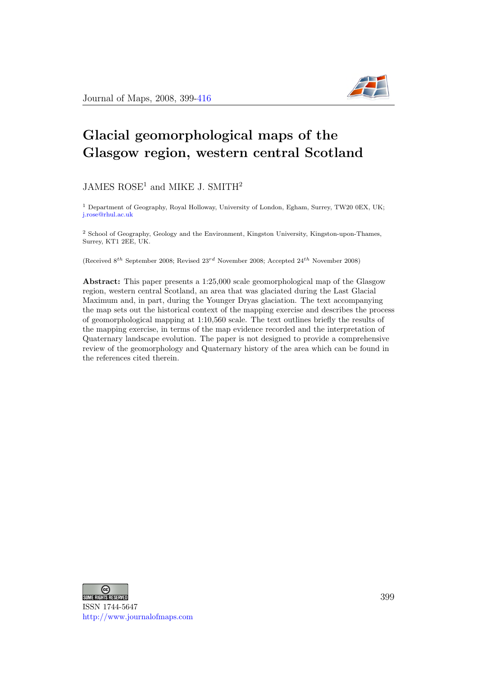

# Glacial geomorphological maps of the Glasgow region, western central Scotland

 $JAMES ROSE<sup>1</sup>$  and MIKE J. SMITH<sup>2</sup>

<sup>1</sup> Department of Geography, Royal Holloway, University of London, Egham, Surrey, TW20 0EX, UK; j.rose@rhul.ac.uk

<sup>2</sup> School of Geography, Geology and the Environment, Kingston University, Kingston-upon-Thames, Surrey, KT1 2EE, UK.

(Received  $8^{th}$  September 2008; Revised  $23^{rd}$  November 2008; Accepted  $24^{th}$  November 2008)

Abstract: This paper presents a 1:25,000 scale geomorphological map of the Glasgow region, western central Scotland, an area that was glaciated during the Last Glacial Maximum and, in part, during the Younger Dryas glaciation. The text accompanying the map sets out the historical context of the mapping exercise and describes the process of geomorphological mapping at 1:10,560 scale. The text outlines briefly the results of the mapping exercise, in terms of the map evidence recorded and the interpretation of Quaternary landscape evolution. The paper is not designed to provide a comprehensive review of the geomorphology and Quaternary history of the area which can be found in the references cited therein.



ISSN 1744-5647 http://www.journalofmaps.com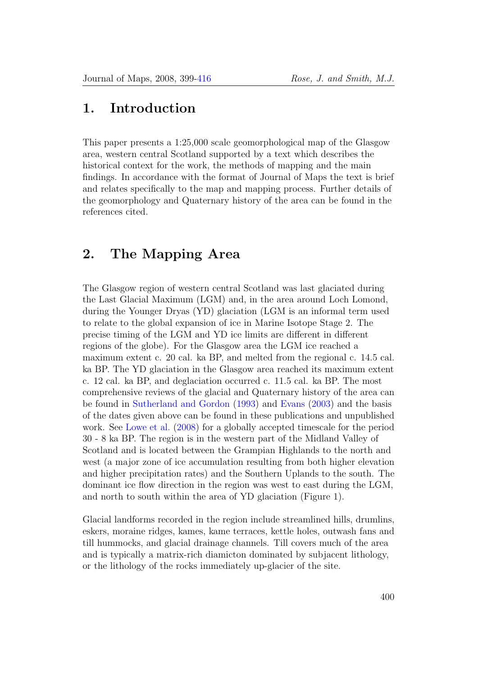#### 1. Introduction

This paper presents a 1:25,000 scale geomorphological map of the Glasgow area, western central Scotland supported by a text which describes the historical context for the work, the methods of mapping and the main findings. In accordance with the format of Journal of Maps the text is brief and relates specifically to the map and mapping process. Further details of the geomorphology and Quaternary history of the area can be found in the references cited.

## 2. The Mapping Area

The Glasgow region of western central Scotland was last glaciated during the Last Glacial Maximum (LGM) and, in the area around Loch Lomond, during the Younger Dryas (YD) glaciation (LGM is an informal term used to relate to the global expansion of ice in Marine Isotope Stage 2. The precise timing of the LGM and YD ice limits are different in different regions of the globe). For the Glasgow area the LGM ice reached a maximum extent c. 20 cal. ka BP, and melted from the regional c. 14.5 cal. ka BP. The YD glaciation in the Glasgow area reached its maximum extent c. 12 cal. ka BP, and deglaciation occurred c. 11.5 cal. ka BP. The most comprehensive reviews of the glacial and Quaternary history of the area can be found in Sutherland and Gordon (1993) and Evans (2003) and the basis of the dates given above can be found in these publications and unpublished work. See Lowe et al. (2008) for a globally accepted timescale for the period 30 - 8 ka BP. The region is in the western part of the Midland Valley of Scotland and is located between the Grampian Highlands to the north and west (a major zone of ice accumulation resulting from both higher elevation and higher precipitation rates) and the Southern Uplands to the south. The dominant ice flow direction in the region was west to east during the LGM, and north to south within the area of YD glaciation (Figure 1).

Glacial landforms recorded in the region include streamlined hills, drumlins, eskers, moraine ridges, kames, kame terraces, kettle holes, outwash fans and till hummocks, and glacial drainage channels. Till covers much of the area and is typically a matrix-rich diamicton dominated by subjacent lithology, or the lithology of the rocks immediately up-glacier of the site.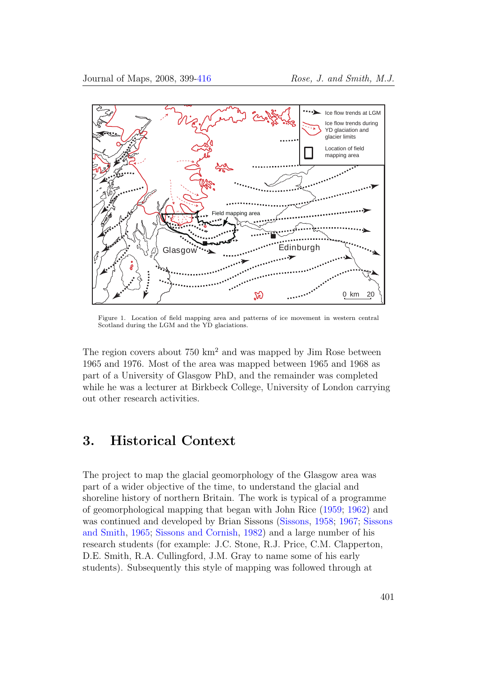

Figure 1. Location of field mapping area and patterns of ice movement in western central Scotland during the LGM and the YD glaciations.

The region covers about  $750 \text{ km}^2$  and was mapped by Jim Rose between 1965 and 1976. Most of the area was mapped between 1965 and 1968 as part of a University of Glasgow PhD, and the remainder was completed while he was a lecturer at Birkbeck College, University of London carrying out other research activities.

## 3. Historical Context

The project to map the glacial geomorphology of the Glasgow area was part of a wider objective of the time, to understand the glacial and shoreline history of northern Britain. The work is typical of a programme of geomorphological mapping that began with John Rice (1959; 1962) and was continued and developed by Brian Sissons (Sissons, 1958; 1967; Sissons and Smith, 1965; Sissons and Cornish, 1982) and a large number of his research students (for example: J.C. Stone, R.J. Price, C.M. Clapperton, D.E. Smith, R.A. Cullingford, J.M. Gray to name some of his early students). Subsequently this style of mapping was followed through at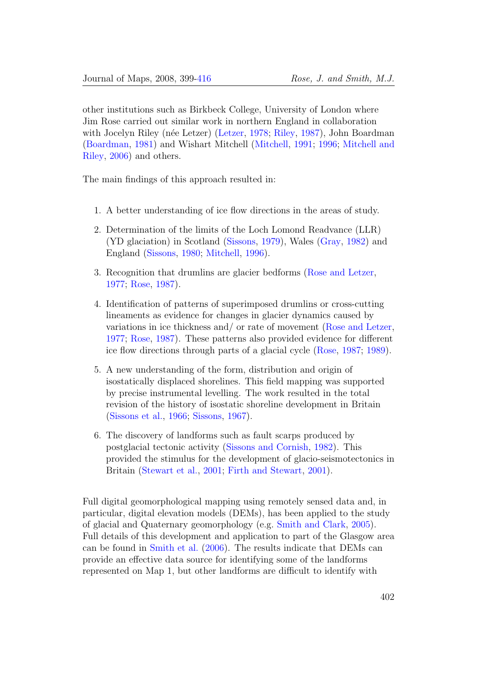other institutions such as Birkbeck College, University of London where Jim Rose carried out similar work in northern England in collaboration with Jocelyn Riley (née Letzer) (Letzer, 1978; Riley, 1987), John Boardman (Boardman, 1981) and Wishart Mitchell (Mitchell, 1991; 1996; Mitchell and Riley, 2006) and others.

The main findings of this approach resulted in:

- 1. A better understanding of ice flow directions in the areas of study.
- 2. Determination of the limits of the Loch Lomond Readvance (LLR) (YD glaciation) in Scotland (Sissons, 1979), Wales (Gray, 1982) and England (Sissons, 1980; Mitchell, 1996).
- 3. Recognition that drumlins are glacier bedforms (Rose and Letzer, 1977; Rose, 1987).
- 4. Identification of patterns of superimposed drumlins or cross-cutting lineaments as evidence for changes in glacier dynamics caused by variations in ice thickness and/ or rate of movement (Rose and Letzer, 1977; Rose, 1987). These patterns also provided evidence for different ice flow directions through parts of a glacial cycle (Rose, 1987; 1989).
- 5. A new understanding of the form, distribution and origin of isostatically displaced shorelines. This field mapping was supported by precise instrumental levelling. The work resulted in the total revision of the history of isostatic shoreline development in Britain (Sissons et al., 1966; Sissons, 1967).
- 6. The discovery of landforms such as fault scarps produced by postglacial tectonic activity (Sissons and Cornish, 1982). This provided the stimulus for the development of glacio-seismotectonics in Britain (Stewart et al., 2001; Firth and Stewart, 2001).

Full digital geomorphological mapping using remotely sensed data and, in particular, digital elevation models (DEMs), has been applied to the study of glacial and Quaternary geomorphology (e.g. Smith and Clark, 2005). Full details of this development and application to part of the Glasgow area can be found in Smith et al. (2006). The results indicate that DEMs can provide an effective data source for identifying some of the landforms represented on Map 1, but other landforms are difficult to identify with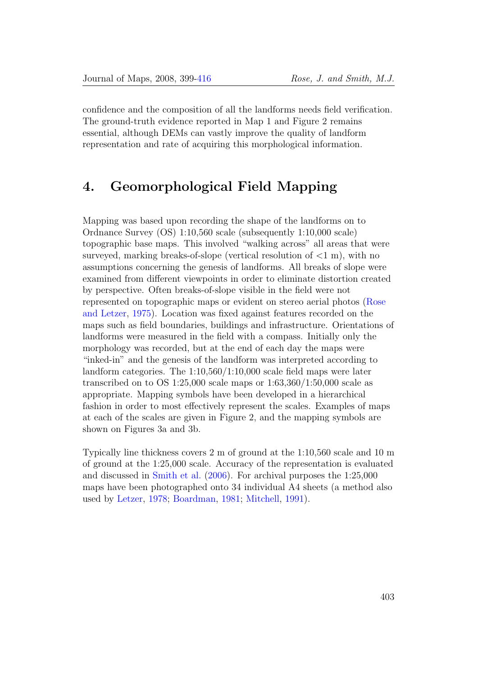confidence and the composition of all the landforms needs field verification. The ground-truth evidence reported in Map 1 and Figure 2 remains essential, although DEMs can vastly improve the quality of landform representation and rate of acquiring this morphological information.

### 4. Geomorphological Field Mapping

Mapping was based upon recording the shape of the landforms on to Ordnance Survey (OS) 1:10,560 scale (subsequently 1:10,000 scale) topographic base maps. This involved "walking across" all areas that were surveyed, marking breaks-of-slope (vertical resolution of  $\langle 1 \text{ m} \rangle$ , with no assumptions concerning the genesis of landforms. All breaks of slope were examined from different viewpoints in order to eliminate distortion created by perspective. Often breaks-of-slope visible in the field were not represented on topographic maps or evident on stereo aerial photos (Rose and Letzer, 1975). Location was fixed against features recorded on the maps such as field boundaries, buildings and infrastructure. Orientations of landforms were measured in the field with a compass. Initially only the morphology was recorded, but at the end of each day the maps were "inked-in" and the genesis of the landform was interpreted according to landform categories. The 1:10,560/1:10,000 scale field maps were later transcribed on to OS 1:25,000 scale maps or 1:63,360/1:50,000 scale as appropriate. Mapping symbols have been developed in a hierarchical fashion in order to most effectively represent the scales. Examples of maps at each of the scales are given in Figure 2, and the mapping symbols are shown on Figures 3a and 3b.

Typically line thickness covers 2 m of ground at the 1:10,560 scale and 10 m of ground at the 1:25,000 scale. Accuracy of the representation is evaluated and discussed in Smith et al. (2006). For archival purposes the 1:25,000 maps have been photographed onto 34 individual A4 sheets (a method also used by Letzer, 1978; Boardman, 1981; Mitchell, 1991).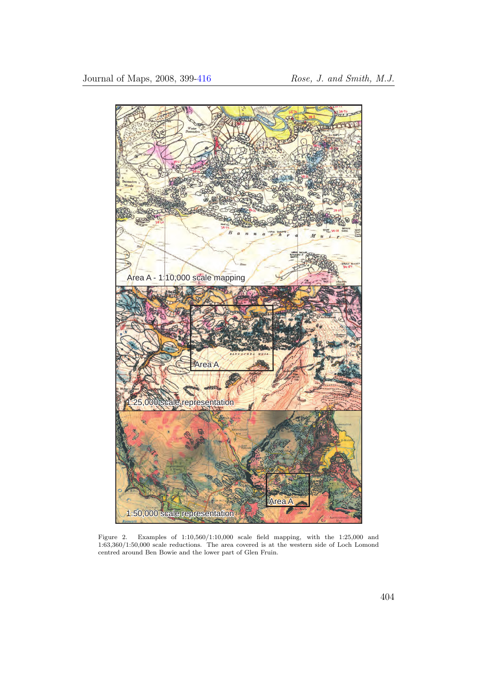

Figure 2. Examples of 1:10,560/1:10,000 scale field mapping, with the 1:25,000 and 1:63,360/1:50,000 scale reductions. The area covered is at the western side of Loch Lomond centred around Ben Bowie and the lower part of Glen Fruin.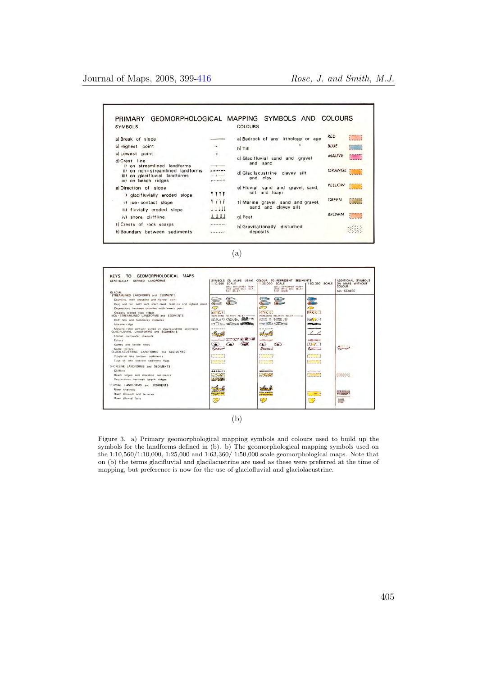$\overline{\phantom{a}}$ 

| PRIMARY                                               |                | GEOMORPHOLOGICAL MAPPING SYMBOLS AND COLOURS               |              |                  |
|-------------------------------------------------------|----------------|------------------------------------------------------------|--------------|------------------|
| <b>SYMBOLS</b>                                        |                | <b>COLOURS</b>                                             |              |                  |
| a) Break of slope                                     |                | a) Bedrock of any lithology or age                         | <b>RED</b>   | <b>Contract</b>  |
| b) Highest point                                      | ۰              | b) Till                                                    | <b>BLUE</b>  | po a             |
| c) Lowest point                                       | $\circ$        | c) Glacifluvial sand and gravel<br>and sand                | MAUVE        | <b>The Co</b>    |
| d) Crest line<br>i) on streamlined landforms          |                |                                                            |              |                  |
| on non-streamlined landforms<br>π                     |                | d) Glacilacustrine<br>clayey silt                          | ORANGE       | <b>The State</b> |
| iii) on glacifluvial landforms<br>iv) on beach ridges |                | and clay                                                   |              |                  |
| el Direction of slope                                 |                | sand and gravel, sand,<br>e) Fluvial<br>silt and loam      | YELLOW       | $\sim$ $\sim$    |
| i) glacifluvially eroded slope                        | <b>T 7 1 T</b> |                                                            |              |                  |
| ii) ice-contact slope                                 | <b>YYYY</b>    | f) Marine gravel, sand and gravel,<br>sand and clayey silt | <b>GREEN</b> | 1435             |
| iii) fluvially eroded slope                           | 11111          |                                                            |              |                  |
| iv) shore cliffline                                   | $1 + 11$       | g) Peat                                                    | <b>BROWN</b> | and a            |
| f) Crests of rock scarps                              | .              | disturbed<br>h) Gravitationally<br>deposits                |              |                  |
| h) Boundary between sediments                         |                |                                                            |              |                  |

 $(a)$ 



(b)

Figure 3. a) Primary geomorphological mapping symbols and colours used to build up the symbols for the landforms defined in (b). b) The geomorphological mapping symbols used on the 1:10,560/1:10,000, 1:25,000 and 1:63,360/ 1:50,000 scale geomorphological maps. Note that on (b) the terms glacifluvial and glacilacustrine are used as these were preferred at the time of mapping, but preference is now for the use of glaciofluvial and glaciolacustrine.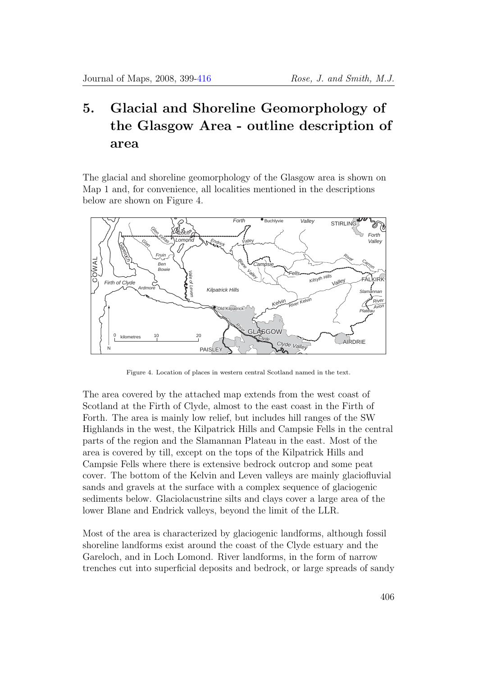# 5. Glacial and Shoreline Geomorphology of the Glasgow Area - outline description of area

The glacial and shoreline geomorphology of the Glasgow area is shown on Map 1 and, for convenience, all localities mentioned in the descriptions below are shown on Figure 4.



Figure 4. Location of places in western central Scotland named in the text.

The area covered by the attached map extends from the west coast of Scotland at the Firth of Clyde, almost to the east coast in the Firth of Forth. The area is mainly low relief, but includes hill ranges of the SW Highlands in the west, the Kilpatrick Hills and Campsie Fells in the central parts of the region and the Slamannan Plateau in the east. Most of the area is covered by till, except on the tops of the Kilpatrick Hills and Campsie Fells where there is extensive bedrock outcrop and some peat cover. The bottom of the Kelvin and Leven valleys are mainly glaciofluvial sands and gravels at the surface with a complex sequence of glaciogenic sediments below. Glaciolacustrine silts and clays cover a large area of the lower Blane and Endrick valleys, beyond the limit of the LLR.

Most of the area is characterized by glaciogenic landforms, although fossil shoreline landforms exist around the coast of the Clyde estuary and the Gareloch, and in Loch Lomond. River landforms, in the form of narrow trenches cut into superficial deposits and bedrock, or large spreads of sandy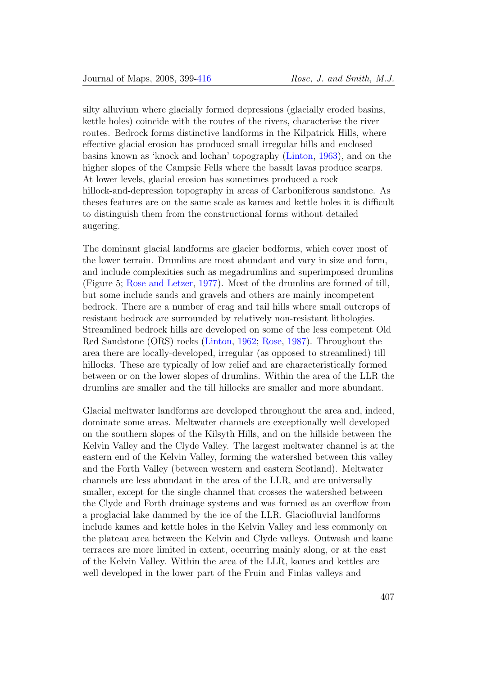silty alluvium where glacially formed depressions (glacially eroded basins, kettle holes) coincide with the routes of the rivers, characterise the river routes. Bedrock forms distinctive landforms in the Kilpatrick Hills, where effective glacial erosion has produced small irregular hills and enclosed basins known as 'knock and lochan' topography (Linton, 1963), and on the higher slopes of the Campsie Fells where the basalt lavas produce scarps. At lower levels, glacial erosion has sometimes produced a rock hillock-and-depression topography in areas of Carboniferous sandstone. As theses features are on the same scale as kames and kettle holes it is difficult to distinguish them from the constructional forms without detailed augering.

The dominant glacial landforms are glacier bedforms, which cover most of the lower terrain. Drumlins are most abundant and vary in size and form, and include complexities such as megadrumlins and superimposed drumlins (Figure 5; Rose and Letzer, 1977). Most of the drumlins are formed of till, but some include sands and gravels and others are mainly incompetent bedrock. There are a number of crag and tail hills where small outcrops of resistant bedrock are surrounded by relatively non-resistant lithologies. Streamlined bedrock hills are developed on some of the less competent Old Red Sandstone (ORS) rocks (Linton, 1962; Rose, 1987). Throughout the area there are locally-developed, irregular (as opposed to streamlined) till hillocks. These are typically of low relief and are characteristically formed between or on the lower slopes of drumlins. Within the area of the LLR the drumlins are smaller and the till hillocks are smaller and more abundant.

Glacial meltwater landforms are developed throughout the area and, indeed, dominate some areas. Meltwater channels are exceptionally well developed on the southern slopes of the Kilsyth Hills, and on the hillside between the Kelvin Valley and the Clyde Valley. The largest meltwater channel is at the eastern end of the Kelvin Valley, forming the watershed between this valley and the Forth Valley (between western and eastern Scotland). Meltwater channels are less abundant in the area of the LLR, and are universally smaller, except for the single channel that crosses the watershed between the Clyde and Forth drainage systems and was formed as an overflow from a proglacial lake dammed by the ice of the LLR. Glaciofluvial landforms include kames and kettle holes in the Kelvin Valley and less commonly on the plateau area between the Kelvin and Clyde valleys. Outwash and kame terraces are more limited in extent, occurring mainly along, or at the east of the Kelvin Valley. Within the area of the LLR, kames and kettles are well developed in the lower part of the Fruin and Finlas valleys and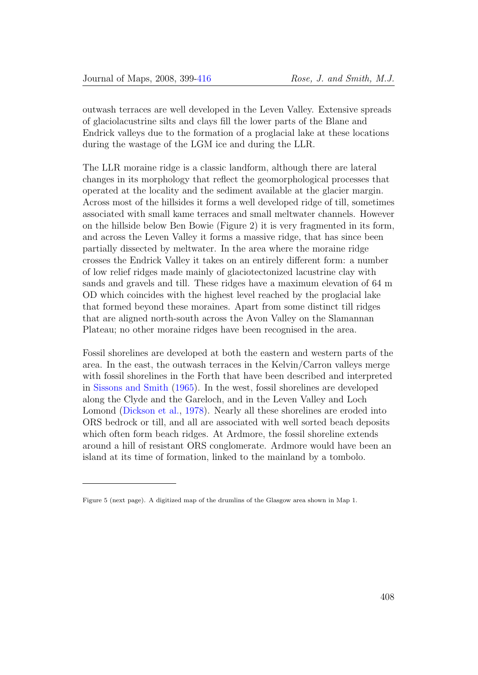outwash terraces are well developed in the Leven Valley. Extensive spreads of glaciolacustrine silts and clays fill the lower parts of the Blane and Endrick valleys due to the formation of a proglacial lake at these locations during the wastage of the LGM ice and during the LLR.

The LLR moraine ridge is a classic landform, although there are lateral changes in its morphology that reflect the geomorphological processes that operated at the locality and the sediment available at the glacier margin. Across most of the hillsides it forms a well developed ridge of till, sometimes associated with small kame terraces and small meltwater channels. However on the hillside below Ben Bowie (Figure 2) it is very fragmented in its form, and across the Leven Valley it forms a massive ridge, that has since been partially dissected by meltwater. In the area where the moraine ridge crosses the Endrick Valley it takes on an entirely different form: a number of low relief ridges made mainly of glaciotectonized lacustrine clay with sands and gravels and till. These ridges have a maximum elevation of 64 m OD which coincides with the highest level reached by the proglacial lake that formed beyond these moraines. Apart from some distinct till ridges that are aligned north-south across the Avon Valley on the Slamannan Plateau; no other moraine ridges have been recognised in the area.

Fossil shorelines are developed at both the eastern and western parts of the area. In the east, the outwash terraces in the Kelvin/Carron valleys merge with fossil shorelines in the Forth that have been described and interpreted in Sissons and Smith (1965). In the west, fossil shorelines are developed along the Clyde and the Gareloch, and in the Leven Valley and Loch Lomond (Dickson et al., 1978). Nearly all these shorelines are eroded into ORS bedrock or till, and all are associated with well sorted beach deposits which often form beach ridges. At Ardmore, the fossil shoreline extends around a hill of resistant ORS conglomerate. Ardmore would have been an island at its time of formation, linked to the mainland by a tombolo.

Figure 5 (next page). A digitized map of the drumlins of the Glasgow area shown in Map 1.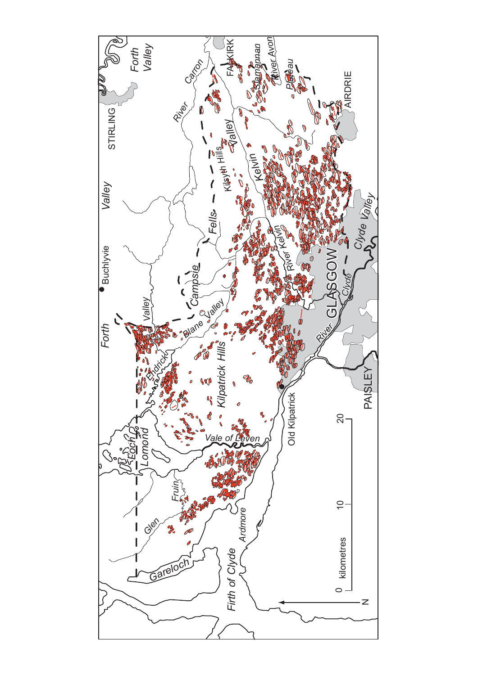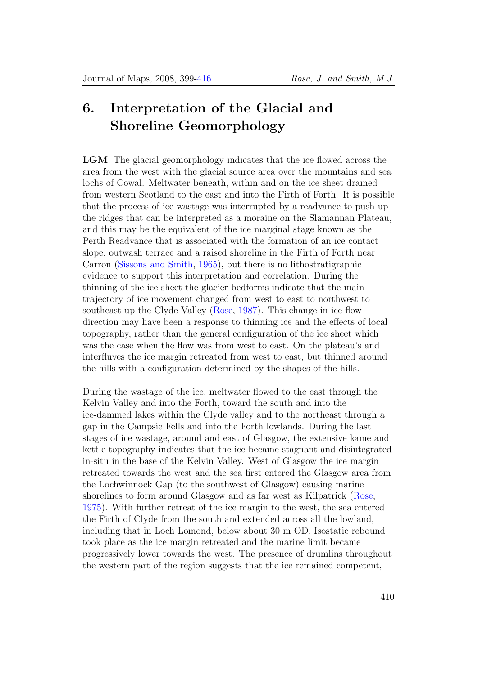# 6. Interpretation of the Glacial and Shoreline Geomorphology

LGM. The glacial geomorphology indicates that the ice flowed across the area from the west with the glacial source area over the mountains and sea lochs of Cowal. Meltwater beneath, within and on the ice sheet drained from western Scotland to the east and into the Firth of Forth. It is possible that the process of ice wastage was interrupted by a readvance to push-up the ridges that can be interpreted as a moraine on the Slamannan Plateau, and this may be the equivalent of the ice marginal stage known as the Perth Readvance that is associated with the formation of an ice contact slope, outwash terrace and a raised shoreline in the Firth of Forth near Carron (Sissons and Smith, 1965), but there is no lithostratigraphic evidence to support this interpretation and correlation. During the thinning of the ice sheet the glacier bedforms indicate that the main trajectory of ice movement changed from west to east to northwest to southeast up the Clyde Valley (Rose, 1987). This change in ice flow direction may have been a response to thinning ice and the effects of local topography, rather than the general configuration of the ice sheet which was the case when the flow was from west to east. On the plateau's and interfluves the ice margin retreated from west to east, but thinned around the hills with a configuration determined by the shapes of the hills.

During the wastage of the ice, meltwater flowed to the east through the Kelvin Valley and into the Forth, toward the south and into the ice-dammed lakes within the Clyde valley and to the northeast through a gap in the Campsie Fells and into the Forth lowlands. During the last stages of ice wastage, around and east of Glasgow, the extensive kame and kettle topography indicates that the ice became stagnant and disintegrated in-situ in the base of the Kelvin Valley. West of Glasgow the ice margin retreated towards the west and the sea first entered the Glasgow area from the Lochwinnock Gap (to the southwest of Glasgow) causing marine shorelines to form around Glasgow and as far west as Kilpatrick (Rose, 1975). With further retreat of the ice margin to the west, the sea entered the Firth of Clyde from the south and extended across all the lowland, including that in Loch Lomond, below about 30 m OD. Isostatic rebound took place as the ice margin retreated and the marine limit became progressively lower towards the west. The presence of drumlins throughout the western part of the region suggests that the ice remained competent,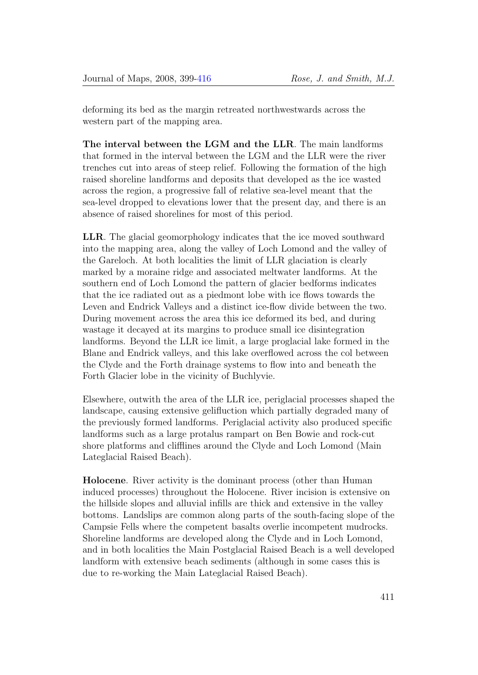deforming its bed as the margin retreated northwestwards across the western part of the mapping area.

The interval between the LGM and the LLR. The main landforms that formed in the interval between the LGM and the LLR were the river trenches cut into areas of steep relief. Following the formation of the high raised shoreline landforms and deposits that developed as the ice wasted across the region, a progressive fall of relative sea-level meant that the sea-level dropped to elevations lower that the present day, and there is an absence of raised shorelines for most of this period.

LLR. The glacial geomorphology indicates that the ice moved southward into the mapping area, along the valley of Loch Lomond and the valley of the Gareloch. At both localities the limit of LLR glaciation is clearly marked by a moraine ridge and associated meltwater landforms. At the southern end of Loch Lomond the pattern of glacier bedforms indicates that the ice radiated out as a piedmont lobe with ice flows towards the Leven and Endrick Valleys and a distinct ice-flow divide between the two. During movement across the area this ice deformed its bed, and during wastage it decayed at its margins to produce small ice disintegration landforms. Beyond the LLR ice limit, a large proglacial lake formed in the Blane and Endrick valleys, and this lake overflowed across the col between the Clyde and the Forth drainage systems to flow into and beneath the Forth Glacier lobe in the vicinity of Buchlyvie.

Elsewhere, outwith the area of the LLR ice, periglacial processes shaped the landscape, causing extensive gelifluction which partially degraded many of the previously formed landforms. Periglacial activity also produced specific landforms such as a large protalus rampart on Ben Bowie and rock-cut shore platforms and clifflines around the Clyde and Loch Lomond (Main Lateglacial Raised Beach).

Holocene. River activity is the dominant process (other than Human induced processes) throughout the Holocene. River incision is extensive on the hillside slopes and alluvial infills are thick and extensive in the valley bottoms. Landslips are common along parts of the south-facing slope of the Campsie Fells where the competent basalts overlie incompetent mudrocks. Shoreline landforms are developed along the Clyde and in Loch Lomond, and in both localities the Main Postglacial Raised Beach is a well developed landform with extensive beach sediments (although in some cases this is due to re-working the Main Lateglacial Raised Beach).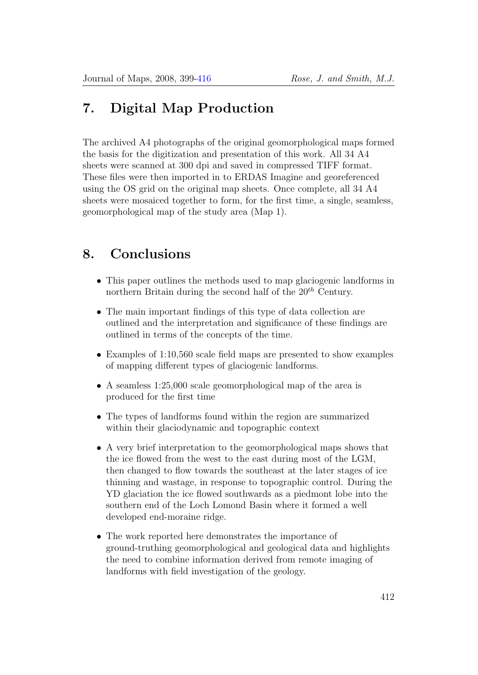## 7. Digital Map Production

The archived A4 photographs of the original geomorphological maps formed the basis for the digitization and presentation of this work. All 34 A4 sheets were scanned at 300 dpi and saved in compressed TIFF format. These files were then imported in to ERDAS Imagine and georeferenced using the OS grid on the original map sheets. Once complete, all 34 A4 sheets were mosaiced together to form, for the first time, a single, seamless, geomorphological map of the study area (Map 1).

### 8. Conclusions

- This paper outlines the methods used to map glaciogenic landforms in northern Britain during the second half of the  $20<sup>th</sup>$  Century.
- The main important findings of this type of data collection are outlined and the interpretation and significance of these findings are outlined in terms of the concepts of the time.
- Examples of 1:10,560 scale field maps are presented to show examples of mapping different types of glaciogenic landforms.
- A seamless 1:25,000 scale geomorphological map of the area is produced for the first time
- The types of landforms found within the region are summarized within their glaciodynamic and topographic context
- A very brief interpretation to the geomorphological maps shows that the ice flowed from the west to the east during most of the LGM, then changed to flow towards the southeast at the later stages of ice thinning and wastage, in response to topographic control. During the YD glaciation the ice flowed southwards as a piedmont lobe into the southern end of the Loch Lomond Basin where it formed a well developed end-moraine ridge.
- The work reported here demonstrates the importance of ground-truthing geomorphological and geological data and highlights the need to combine information derived from remote imaging of landforms with field investigation of the geology.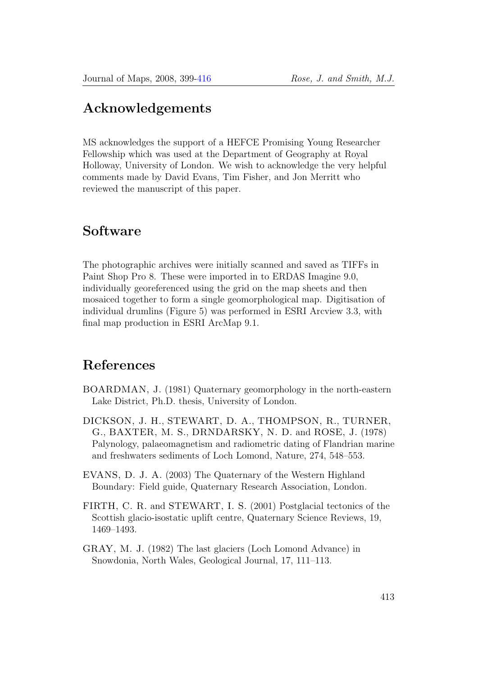#### Acknowledgements

MS acknowledges the support of a HEFCE Promising Young Researcher Fellowship which was used at the Department of Geography at Royal Holloway, University of London. We wish to acknowledge the very helpful comments made by David Evans, Tim Fisher, and Jon Merritt who reviewed the manuscript of this paper.

### Software

The photographic archives were initially scanned and saved as TIFFs in Paint Shop Pro 8. These were imported in to ERDAS Imagine 9.0, individually georeferenced using the grid on the map sheets and then mosaiced together to form a single geomorphological map. Digitisation of individual drumlins (Figure 5) was performed in ESRI Arcview 3.3, with final map production in ESRI ArcMap 9.1.

### References

- BOARDMAN, J. (1981) Quaternary geomorphology in the north-eastern Lake District, Ph.D. thesis, University of London.
- DICKSON, J. H., STEWART, D. A., THOMPSON, R., TURNER, G., BAXTER, M. S., DRNDARSKY, N. D. and ROSE, J. (1978) Palynology, palaeomagnetism and radiometric dating of Flandrian marine and freshwaters sediments of Loch Lomond, Nature, 274, 548–553.
- EVANS, D. J. A. (2003) The Quaternary of the Western Highland Boundary: Field guide, Quaternary Research Association, London.
- FIRTH, C. R. and STEWART, I. S. (2001) Postglacial tectonics of the Scottish glacio-isostatic uplift centre, Quaternary Science Reviews, 19, 1469–1493.
- GRAY, M. J. (1982) The last glaciers (Loch Lomond Advance) in Snowdonia, North Wales, Geological Journal, 17, 111–113.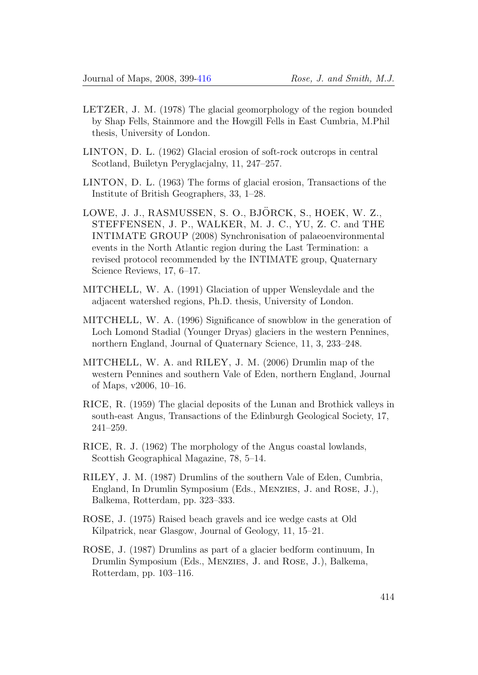- LETZER, J. M. (1978) The glacial geomorphology of the region bounded by Shap Fells, Stainmore and the Howgill Fells in East Cumbria, M.Phil thesis, University of London.
- LINTON, D. L. (1962) Glacial erosion of soft-rock outcrops in central Scotland, Builetyn Peryglacjalny, 11, 247–257.
- LINTON, D. L. (1963) The forms of glacial erosion, Transactions of the Institute of British Geographers, 33, 1–28.
- LOWE, J. J., RASMUSSEN, S. O., BJÖRCK, S., HOEK, W. Z., STEFFENSEN, J. P., WALKER, M. J. C., YU, Z. C. and THE INTIMATE GROUP (2008) Synchronisation of palaeoenvironmental events in the North Atlantic region during the Last Termination: a revised protocol recommended by the INTIMATE group, Quaternary Science Reviews, 17, 6–17.
- MITCHELL, W. A. (1991) Glaciation of upper Wensleydale and the adjacent watershed regions, Ph.D. thesis, University of London.
- MITCHELL, W. A. (1996) Significance of snowblow in the generation of Loch Lomond Stadial (Younger Dryas) glaciers in the western Pennines, northern England, Journal of Quaternary Science, 11, 3, 233–248.
- MITCHELL, W. A. and RILEY, J. M. (2006) Drumlin map of the western Pennines and southern Vale of Eden, northern England, Journal of Maps, v2006, 10–16.
- RICE, R. (1959) The glacial deposits of the Lunan and Brothick valleys in south-east Angus, Transactions of the Edinburgh Geological Society, 17, 241–259.
- RICE, R. J. (1962) The morphology of the Angus coastal lowlands, Scottish Geographical Magazine, 78, 5–14.
- RILEY, J. M. (1987) Drumlins of the southern Vale of Eden, Cumbria, England, In Drumlin Symposium (Eds., Menzies, J. and Rose, J.), Balkema, Rotterdam, pp. 323–333.
- ROSE, J. (1975) Raised beach gravels and ice wedge casts at Old Kilpatrick, near Glasgow, Journal of Geology, 11, 15–21.
- ROSE, J. (1987) Drumlins as part of a glacier bedform continuum, In Drumlin Symposium (Eds., Menzies, J. and Rose, J.), Balkema, Rotterdam, pp. 103–116.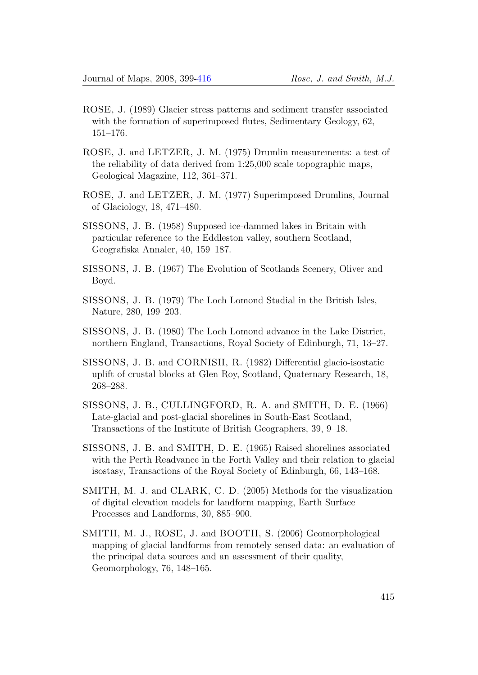- ROSE, J. (1989) Glacier stress patterns and sediment transfer associated with the formation of superimposed flutes, Sedimentary Geology, 62, 151–176.
- ROSE, J. and LETZER, J. M. (1975) Drumlin measurements: a test of the reliability of data derived from 1:25,000 scale topographic maps, Geological Magazine, 112, 361–371.
- ROSE, J. and LETZER, J. M. (1977) Superimposed Drumlins, Journal of Glaciology, 18, 471–480.
- SISSONS, J. B. (1958) Supposed ice-dammed lakes in Britain with particular reference to the Eddleston valley, southern Scotland, Geografiska Annaler, 40, 159–187.
- SISSONS, J. B. (1967) The Evolution of Scotlands Scenery, Oliver and Boyd.
- SISSONS, J. B. (1979) The Loch Lomond Stadial in the British Isles, Nature, 280, 199–203.
- SISSONS, J. B. (1980) The Loch Lomond advance in the Lake District, northern England, Transactions, Royal Society of Edinburgh, 71, 13–27.
- SISSONS, J. B. and CORNISH, R. (1982) Differential glacio-isostatic uplift of crustal blocks at Glen Roy, Scotland, Quaternary Research, 18, 268–288.
- SISSONS, J. B., CULLINGFORD, R. A. and SMITH, D. E. (1966) Late-glacial and post-glacial shorelines in South-East Scotland, Transactions of the Institute of British Geographers, 39, 9–18.
- SISSONS, J. B. and SMITH, D. E. (1965) Raised shorelines associated with the Perth Readvance in the Forth Valley and their relation to glacial isostasy, Transactions of the Royal Society of Edinburgh, 66, 143–168.
- SMITH, M. J. and CLARK, C. D. (2005) Methods for the visualization of digital elevation models for landform mapping, Earth Surface Processes and Landforms, 30, 885–900.
- SMITH, M. J., ROSE, J. and BOOTH, S. (2006) Geomorphological mapping of glacial landforms from remotely sensed data: an evaluation of the principal data sources and an assessment of their quality, Geomorphology, 76, 148–165.